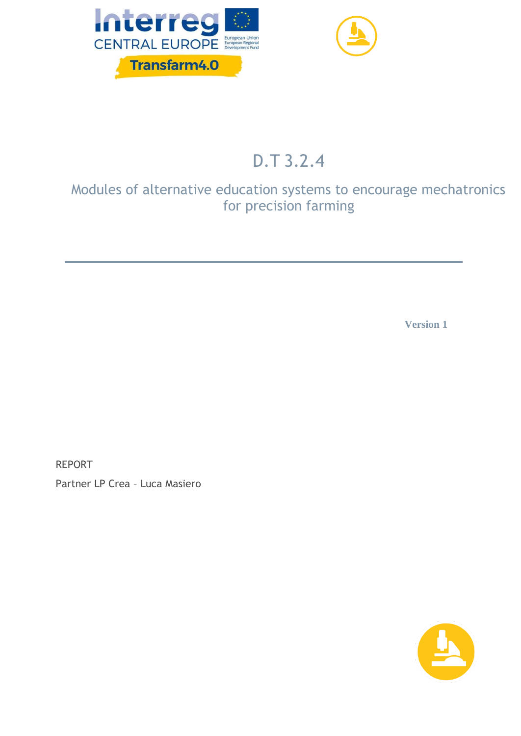



## D.T 3.2.4

## Modules of alternative education systems to encourage mechatronics for precision farming

**Version 1**

REPORT

Partner LP Crea – Luca Masiero

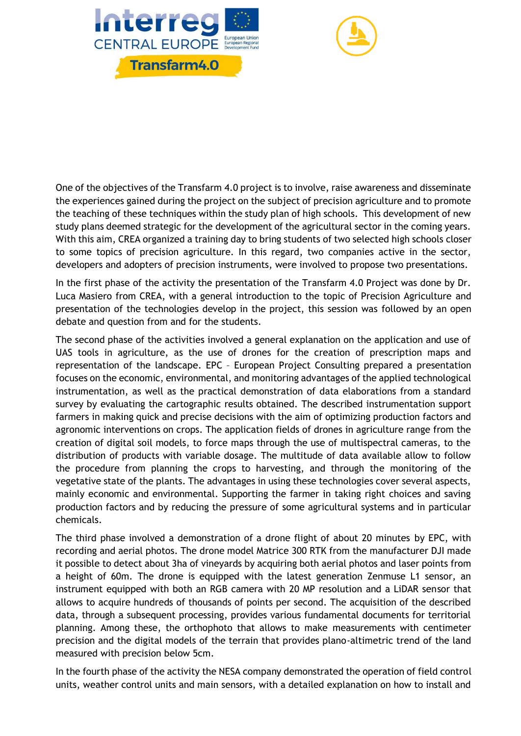

One of the objectives of the Transfarm 4.0 project is to involve, raise awareness and disseminate the experiences gained during the project on the subject of precision agriculture and to promote the teaching of these techniques within the study plan of high schools. This development of new study plans deemed strategic for the development of the agricultural sector in the coming years. With this aim, CREA organized a training day to bring students of two selected high schools closer to some topics of precision agriculture. In this regard, two companies active in the sector, developers and adopters of precision instruments, were involved to propose two presentations.

In the first phase of the activity the presentation of the Transfarm 4.0 Project was done by Dr. Luca Masiero from CREA, with a general introduction to the topic of Precision Agriculture and presentation of the technologies develop in the project, this session was followed by an open debate and question from and for the students.

The second phase of the activities involved a general explanation on the application and use of UAS tools in agriculture, as the use of drones for the creation of prescription maps and representation of the landscape. EPC – European Project Consulting prepared a presentation focuses on the economic, environmental, and monitoring advantages of the applied technological instrumentation, as well as the practical demonstration of data elaborations from a standard survey by evaluating the cartographic results obtained. The described instrumentation support farmers in making quick and precise decisions with the aim of optimizing production factors and agronomic interventions on crops. The application fields of drones in agriculture range from the creation of digital soil models, to force maps through the use of multispectral cameras, to the distribution of products with variable dosage. The multitude of data available allow to follow the procedure from planning the crops to harvesting, and through the monitoring of the vegetative state of the plants. The advantages in using these technologies cover several aspects, mainly economic and environmental. Supporting the farmer in taking right choices and saving production factors and by reducing the pressure of some agricultural systems and in particular chemicals.

The third phase involved a demonstration of a drone flight of about 20 minutes by EPC, with recording and aerial photos. The drone model Matrice 300 RTK from the manufacturer DJI made it possible to detect about 3ha of vineyards by acquiring both aerial photos and laser points from a height of 60m. The drone is equipped with the latest generation Zenmuse L1 sensor, an instrument equipped with both an RGB camera with 20 MP resolution and a LiDAR sensor that allows to acquire hundreds of thousands of points per second. The acquisition of the described data, through a subsequent processing, provides various fundamental documents for territorial planning. Among these, the orthophoto that allows to make measurements with centimeter precision and the digital models of the terrain that provides plano-altimetric trend of the land measured with precision below 5cm.

In the fourth phase of the activity the NESA company demonstrated the operation of field control units, weather control units and main sensors, with a detailed explanation on how to install and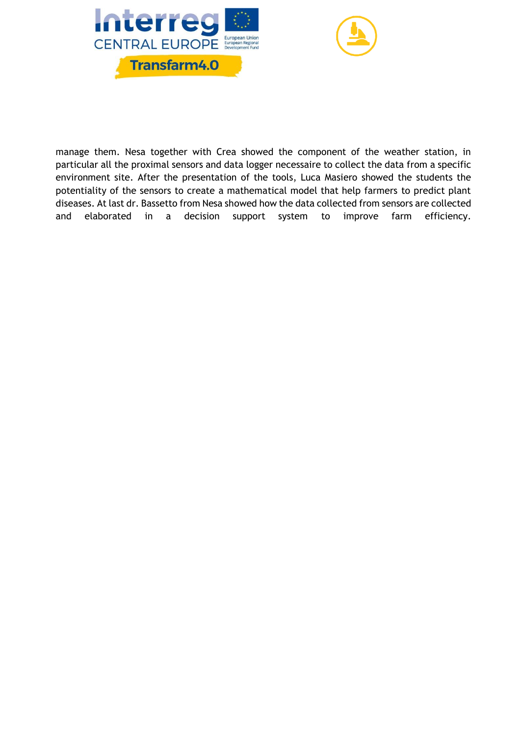



manage them. Nesa together with Crea showed the component of the weather station, in particular all the proximal sensors and data logger necessaire to collect the data from a specific environment site. After the presentation of the tools, Luca Masiero showed the students the potentiality of the sensors to create a mathematical model that help farmers to predict plant diseases. At last dr. Bassetto from Nesa showed how the data collected from sensors are collected and elaborated in a decision support system to improve farm efficiency.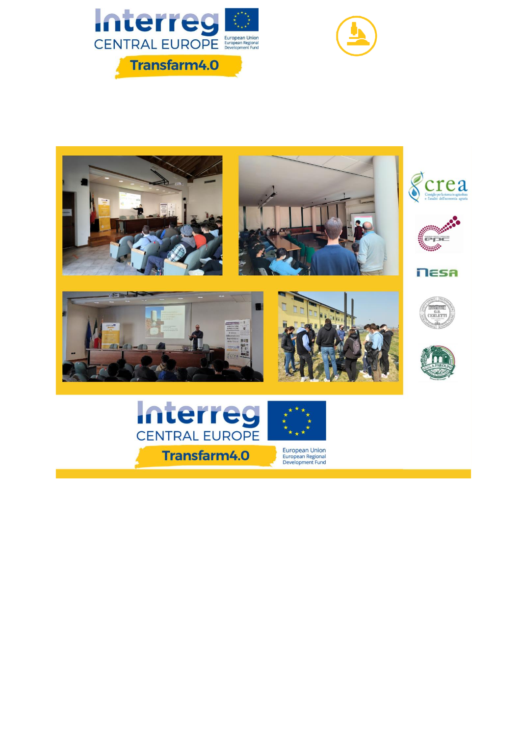









European Union<br>European Regional<br>Development Fund